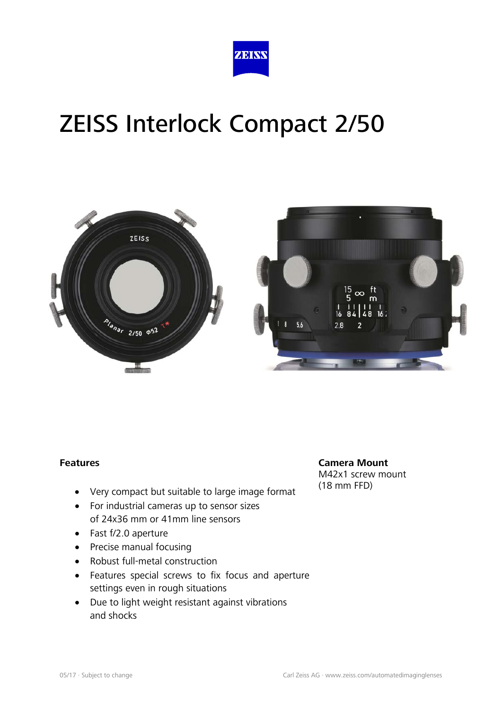



#### **Features**

- Very compact but suitable to large image format
- For industrial cameras up to sensor sizes of 24x36 mm or 41mm line sensors
- Fast f/2.0 aperture
- Precise manual focusing
- Robust full-metal construction
- Features special screws to fix focus and aperture settings even in rough situations
- Due to light weight resistant against vibrations and shocks

**Camera Mount** M42x1 screw mount (18 mm FFD)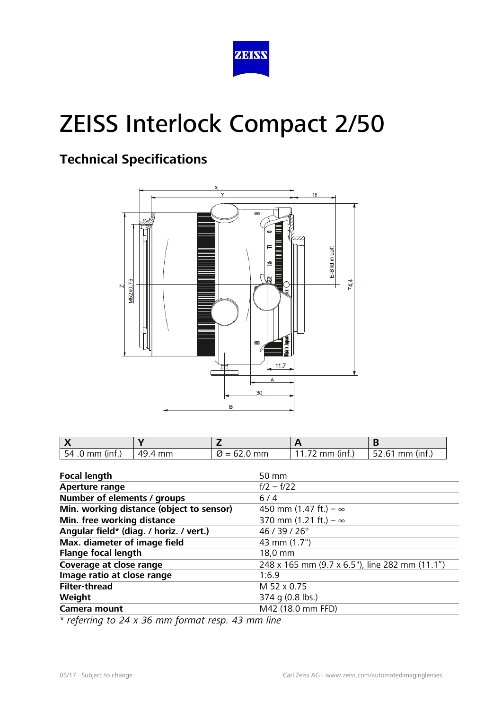

### **Technical Specifications**



| $54.0 \, \text{mm}$ (inf.) | 49.4 mm | $\varnothing$ = 62.0 mm | 11.72 mm (inf.) | $152.61$ mm (inf.) |
|----------------------------|---------|-------------------------|-----------------|--------------------|

| <b>Focal length</b>                      | 50 mm                                          |
|------------------------------------------|------------------------------------------------|
| <b>Aperture range</b>                    | $f/2 - f/22$                                   |
| Number of elements / groups              | $6/4$                                          |
| Min. working distance (object to sensor) | 450 mm (1.47 ft.) – $\infty$                   |
| Min. free working distance               | 370 mm (1.21 ft.) – $\infty$                   |
| Angular field* (diag. / horiz. / vert.)  | 46 / 39 / 26°                                  |
| Max. diameter of image field             | 43 mm (1.7")                                   |
| <b>Flange focal length</b>               | 18,0 mm                                        |
| Coverage at close range                  | 248 x 165 mm (9.7 x 6.5"), line 282 mm (11.1") |
| Image ratio at close range               | 1:6.9                                          |
| <b>Filter-thread</b>                     | M 52 x 0.75                                    |
| Weight                                   | 374 g (0.8 lbs.)                               |
| <b>Camera mount</b>                      | M42 (18.0 mm FFD)                              |

*\* referring to 24 x 36 mm format resp. 43 mm line*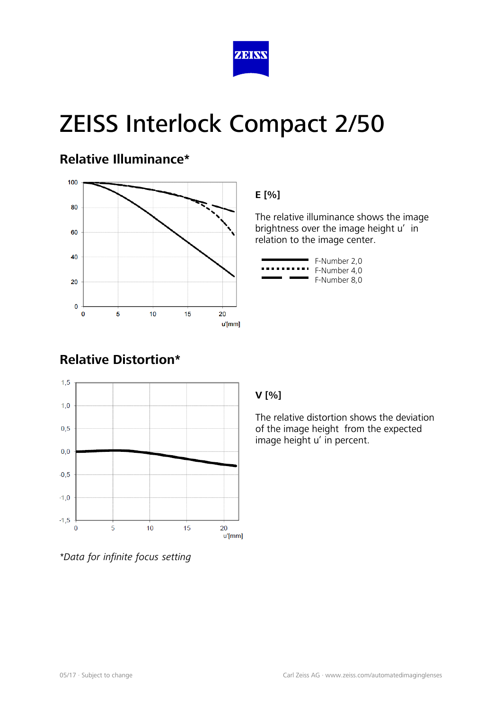

### **Relative Illuminance\***



#### **E [%]**

The relative illuminance shows the image brightness over the image height u' in relation to the image center.

|      | F-Number 2,0 |
|------|--------------|
|      | F-Number 4.0 |
| ____ | F-Number 8.0 |

### **Relative Distortion\***



#### *\*Data for infinite focus setting*

#### **V [%]**

The relative distortion shows the deviation of the image height from the expected image height u' in percent.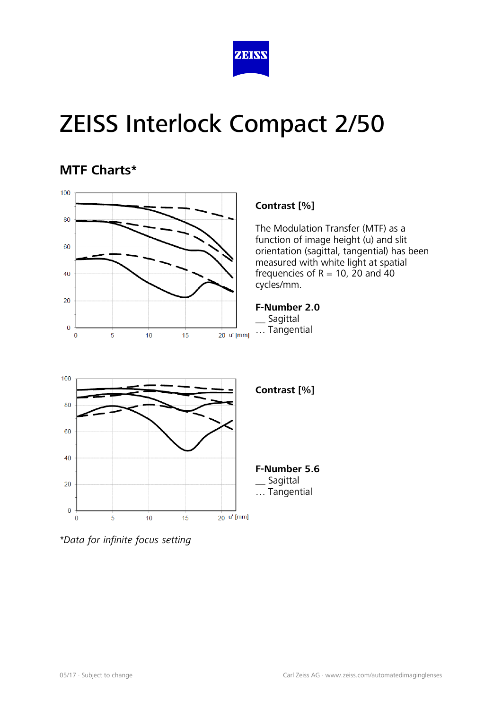

### **MTF Charts\***



*<sup>\*</sup>Data for infinite focus setting*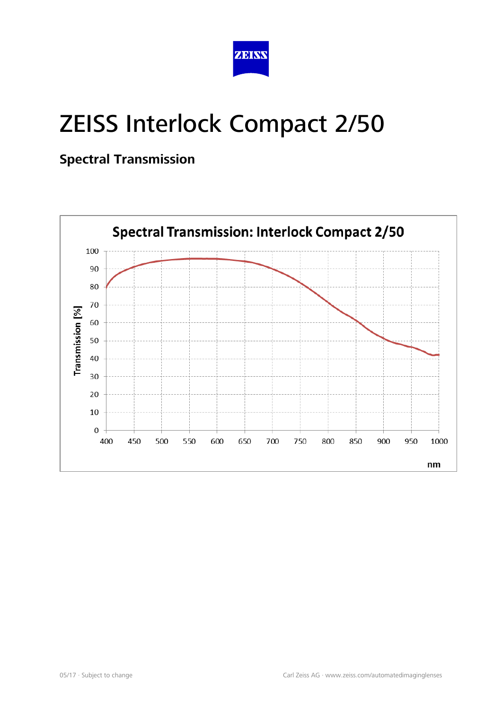

### **Spectral Transmission**